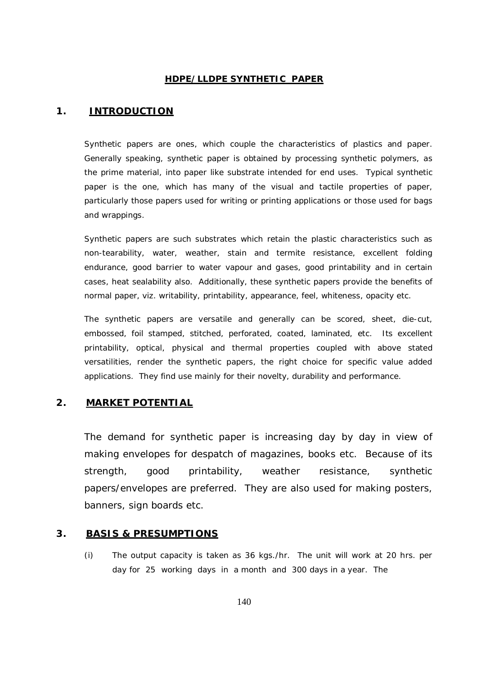### **HDPE/LLDPE SYNTHETIC PAPER**

# **1. INTRODUCTION**

Synthetic papers are ones, which couple the characteristics of plastics and paper. Generally speaking, synthetic paper is obtained by processing synthetic polymers, as the prime material, into paper like substrate intended for end uses. Typical synthetic paper is the one, which has many of the visual and tactile properties of paper, particularly those papers used for writing or printing applications or those used for bags and wrappings.

Synthetic papers are such substrates which retain the plastic characteristics such as non-tearability, water, weather, stain and termite resistance, excellent folding endurance, good barrier to water vapour and gases, good printability and in certain cases, heat sealability also. Additionally, these synthetic papers provide the benefits of normal paper, viz. writability, printability, appearance, feel, whiteness, opacity etc.

The synthetic papers are versatile and generally can be scored, sheet, die-cut, embossed, foil stamped, stitched, perforated, coated, laminated, etc. Its excellent printability, optical, physical and thermal properties coupled with above stated versatilities, render the synthetic papers, the right choice for specific value added applications. They find use mainly for their novelty, durability and performance.

#### **2. MARKET POTENTIAL**

The demand for synthetic paper is increasing day by day in view of making envelopes for despatch of magazines, books etc. Because of its strength, good printability, weather resistance, synthetic papers/envelopes are preferred. They are also used for making posters, banners, sign boards etc.

#### **3. BASIS & PRESUMPTIONS**

(i) The output capacity is taken as 36 kgs./hr. The unit will work at 20 hrs. per day for 25 working days in a month and 300 days in a year. The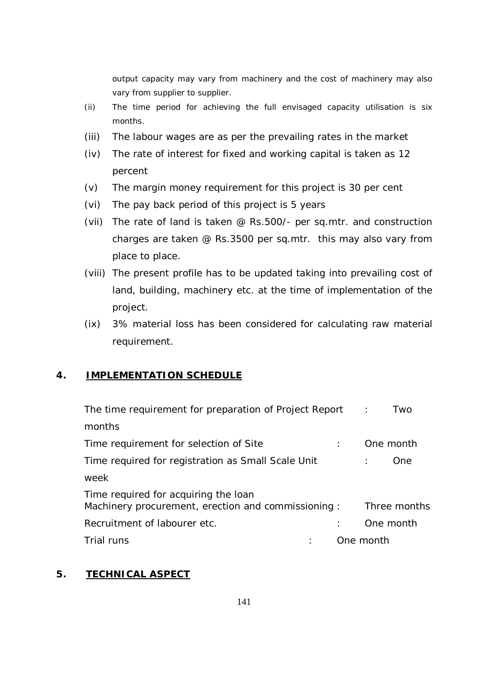output capacity may vary from machinery and the cost of machinery may also vary from supplier to supplier.

- (ii) The time period for achieving the full envisaged capacity utilisation is six months.
- (iii) The labour wages are as per the prevailing rates in the market
- (iv) The rate of interest for fixed and working capital is taken as 12 percent
- (v) The margin money requirement for this project is 30 per cent
- (vi) The pay back period of this project is 5 years
- (vii) The rate of land is taken @ Rs.500/- per sq.mtr. and construction charges are taken @ Rs.3500 per sq.mtr. this may also vary from place to place.
- (viii) The present profile has to be updated taking into prevailing cost of land, building, machinery etc. at the time of implementation of the project.
- (ix) 3% material loss has been considered for calculating raw material requirement.

# **4. IMPLEMENTATION SCHEDULE**

| The time requirement for preparation of Project Report :                                    |           | Two          |
|---------------------------------------------------------------------------------------------|-----------|--------------|
| months                                                                                      |           |              |
| Time requirement for selection of Site                                                      |           | One month    |
| Time required for registration as Small Scale Unit                                          |           | One.         |
| week                                                                                        |           |              |
| Time required for acquiring the loan<br>Machinery procurement, erection and commissioning : |           | Three months |
| Recruitment of labourer etc.                                                                |           | One month    |
| Trial runs                                                                                  | One month |              |

# **5. TECHNICAL ASPECT**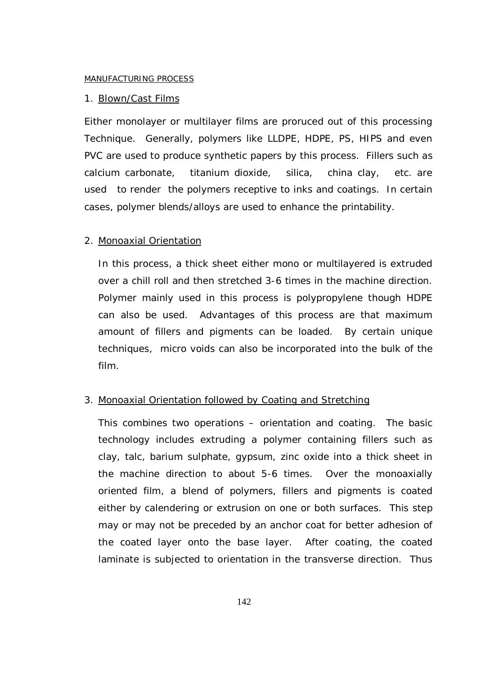#### MANUFACTURING PROCESS

#### 1. Blown/Cast Films

Either monolayer or multilayer films are proruced out of this processing Technique. Generally, polymers like LLDPE, HDPE, PS, HIPS and even PVC are used to produce synthetic papers by this process. Fillers such as calcium carbonate, titanium dioxide, silica, china clay, etc. are used to render the polymers receptive to inks and coatings. In certain cases, polymer blends/alloys are used to enhance the printability.

#### 2. Monoaxial Orientation

In this process, a thick sheet either mono or multilayered is extruded over a chill roll and then stretched 3-6 times in the machine direction. Polymer mainly used in this process is polypropylene though HDPE can also be used. Advantages of this process are that maximum amount of fillers and pigments can be loaded. By certain unique techniques, micro voids can also be incorporated into the bulk of the film.

## 3. Monoaxial Orientation followed by Coating and Stretching

This combines two operations – orientation and coating. The basic technology includes extruding a polymer containing fillers such as clay, talc, barium sulphate, gypsum, zinc oxide into a thick sheet in the machine direction to about 5-6 times. Over the monoaxially oriented film, a blend of polymers, fillers and pigments is coated either by calendering or extrusion on one or both surfaces. This step may or may not be preceded by an anchor coat for better adhesion of the coated layer onto the base layer. After coating, the coated laminate is subjected to orientation in the transverse direction. Thus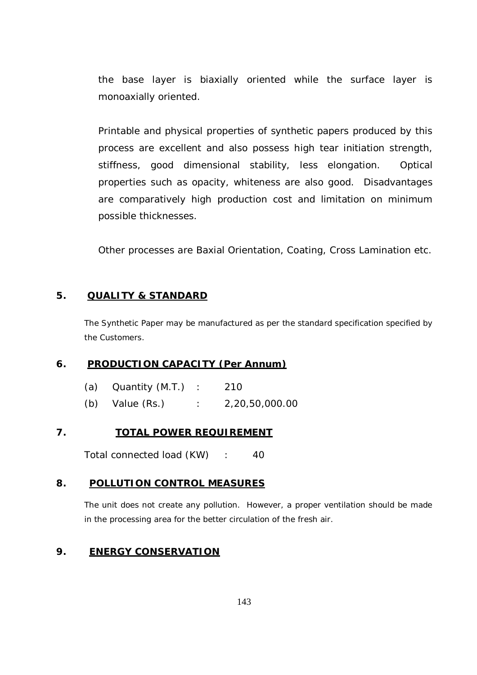the base layer is biaxially oriented while the surface layer is monoaxially oriented.

Printable and physical properties of synthetic papers produced by this process are excellent and also possess high tear initiation strength, stiffness, good dimensional stability, less elongation. Optical properties such as opacity, whiteness are also good. Disadvantages are comparatively high production cost and limitation on minimum possible thicknesses.

Other processes are Baxial Orientation, Coating, Cross Lamination etc.

# **5. QUALITY & STANDARD**

The Synthetic Paper may be manufactured as per the standard specification specified by the Customers.

# **6. PRODUCTION CAPACITY (Per Annum)**

|     | (a) $\alpha$ Quantity (M.T.) | 210            |
|-----|------------------------------|----------------|
| (b) | Value (Rs.)                  | 2,20,50,000.00 |

# **7. TOTAL POWER REQUIREMENT**

Total connected load (KW) : 40

# **8. POLLUTION CONTROL MEASURES**

The unit does not create any pollution. However, a proper ventilation should be made in the processing area for the better circulation of the fresh air.

# **9. ENERGY CONSERVATION**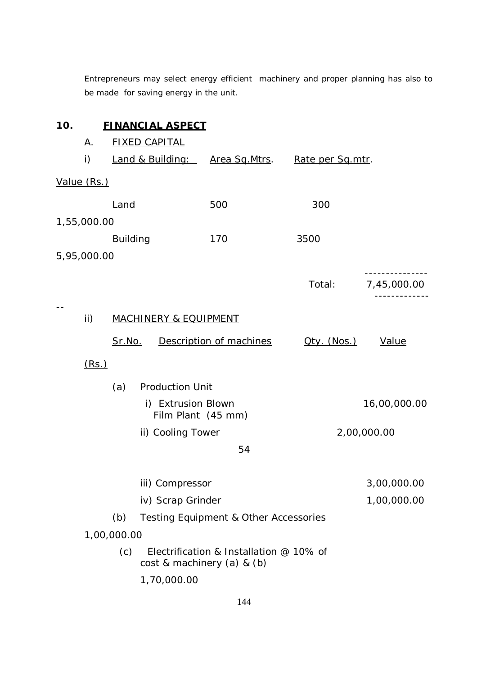Entrepreneurs may select energy efficient machinery and proper planning has also to be made for saving energy in the unit.

| Α.  |      |                                                    |                                                 |                                     |                                                                                                                                                                                                |                                                       |                                                                                                                                         |
|-----|------|----------------------------------------------------|-------------------------------------------------|-------------------------------------|------------------------------------------------------------------------------------------------------------------------------------------------------------------------------------------------|-------------------------------------------------------|-----------------------------------------------------------------------------------------------------------------------------------------|
| i)  |      |                                                    |                                                 |                                     |                                                                                                                                                                                                |                                                       |                                                                                                                                         |
|     |      |                                                    |                                                 |                                     |                                                                                                                                                                                                |                                                       |                                                                                                                                         |
|     | Land |                                                    |                                                 | 500                                 |                                                                                                                                                                                                | 300                                                   |                                                                                                                                         |
|     |      |                                                    |                                                 |                                     |                                                                                                                                                                                                |                                                       |                                                                                                                                         |
|     |      |                                                    |                                                 | 170                                 |                                                                                                                                                                                                | 3500                                                  |                                                                                                                                         |
|     |      |                                                    |                                                 |                                     |                                                                                                                                                                                                |                                                       |                                                                                                                                         |
|     |      |                                                    |                                                 |                                     |                                                                                                                                                                                                | Total:                                                | 7,45,000.00                                                                                                                             |
| ii) |      |                                                    |                                                 |                                     |                                                                                                                                                                                                |                                                       |                                                                                                                                         |
|     |      |                                                    |                                                 |                                     |                                                                                                                                                                                                | Qty. (Nos.)                                           | Value                                                                                                                                   |
|     |      |                                                    |                                                 |                                     |                                                                                                                                                                                                |                                                       |                                                                                                                                         |
|     | (a)  |                                                    |                                                 |                                     |                                                                                                                                                                                                |                                                       |                                                                                                                                         |
|     |      |                                                    |                                                 |                                     |                                                                                                                                                                                                |                                                       | 16,00,000.00                                                                                                                            |
|     |      |                                                    |                                                 |                                     |                                                                                                                                                                                                |                                                       | 2,00,000.00                                                                                                                             |
|     |      |                                                    |                                                 | 54                                  |                                                                                                                                                                                                |                                                       |                                                                                                                                         |
|     |      |                                                    |                                                 |                                     |                                                                                                                                                                                                |                                                       | 3,00,000.00                                                                                                                             |
|     |      |                                                    |                                                 |                                     |                                                                                                                                                                                                |                                                       | 1,00,000.00                                                                                                                             |
|     | (b)  |                                                    |                                                 |                                     |                                                                                                                                                                                                |                                                       |                                                                                                                                         |
|     |      |                                                    |                                                 |                                     |                                                                                                                                                                                                |                                                       |                                                                                                                                         |
|     | (c)  |                                                    |                                                 |                                     |                                                                                                                                                                                                |                                                       |                                                                                                                                         |
|     |      |                                                    |                                                 |                                     |                                                                                                                                                                                                |                                                       |                                                                                                                                         |
|     |      | Value (Rs.)<br>1,55,000.00<br>5,95,000.00<br>(Rs.) | <b>Building</b><br><u>Sr.No.</u><br>1,00,000.00 | <b>FIXED CAPITAL</b><br>1,70,000.00 | <u>FINANCIAL ASPECT</u><br><b>MACHINERY &amp; EQUIPMENT</b><br><b>Production Unit</b><br>i) Extrusion Blown<br>Film Plant (45 mm)<br>ii) Cooling Tower<br>iii) Compressor<br>iv) Scrap Grinder | Description of machines<br>cost & machinery (a) & (b) | Land & Building: Area Sq. Mtrs.<br>Rate per Sq.mtr.<br>Testing Equipment & Other Accessories<br>Electrification & Installation @ 10% of |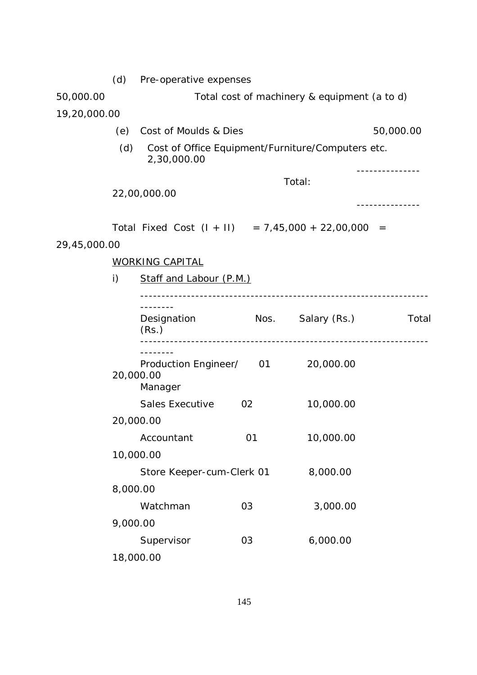|              | (d)          | Pre-operative expenses                                           |                                    |                                              |                             |  |  |  |
|--------------|--------------|------------------------------------------------------------------|------------------------------------|----------------------------------------------|-----------------------------|--|--|--|
| 50,000.00    |              |                                                                  |                                    | Total cost of machinery & equipment (a to d) |                             |  |  |  |
| 19,20,000.00 |              |                                                                  |                                    |                                              |                             |  |  |  |
|              | (e)          |                                                                  | Cost of Moulds & Dies<br>50,000.00 |                                              |                             |  |  |  |
|              | (d)          | Cost of Office Equipment/Furniture/Computers etc.<br>2,30,000.00 |                                    |                                              |                             |  |  |  |
|              |              | 22,00,000.00                                                     |                                    | Total:                                       | - - - - - - - - - - - - - - |  |  |  |
| 29,45,000.00 |              | Total Fixed Cost $(1 + 11)$ = 7,45,000 + 22,00,000 =             |                                    |                                              |                             |  |  |  |
|              |              | <b>WORKING CAPITAL</b>                                           |                                    |                                              |                             |  |  |  |
|              | $\mathsf{i}$ | Staff and Labour (P.M.)                                          |                                    |                                              |                             |  |  |  |
|              |              |                                                                  |                                    |                                              |                             |  |  |  |
|              |              | --------<br>Designation<br>(Rs.)                                 |                                    | Nos. Salary (Rs.)                            | Total                       |  |  |  |
|              | 20,000.00    | Production Engineer/ 01<br>Manager                               |                                    | 20,000.00                                    |                             |  |  |  |
|              |              | <b>Sales Executive</b>                                           | 02                                 | 10,000.00                                    |                             |  |  |  |
|              | 20,000.00    |                                                                  |                                    |                                              |                             |  |  |  |
|              |              | Accountant                                                       | 01                                 | 10,000.00                                    |                             |  |  |  |
|              |              | 10,000.00                                                        |                                    |                                              |                             |  |  |  |
|              |              | Store Keeper-cum-Clerk 01                                        |                                    | 8,000.00                                     |                             |  |  |  |
|              | 8,000.00     |                                                                  |                                    |                                              |                             |  |  |  |
|              |              | Watchman                                                         | 03                                 | 3,000.00                                     |                             |  |  |  |
|              | 9,000.00     |                                                                  |                                    |                                              |                             |  |  |  |
|              |              | Supervisor                                                       | 03                                 | 6,000.00                                     |                             |  |  |  |
|              | 18,000.00    |                                                                  |                                    |                                              |                             |  |  |  |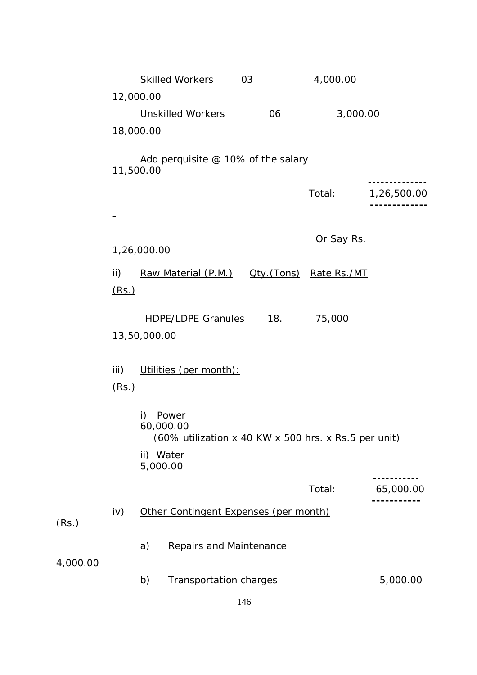|          |               |                 | <b>Skilled Workers</b>                                                     | 03  | 4,000.00                |             |
|----------|---------------|-----------------|----------------------------------------------------------------------------|-----|-------------------------|-------------|
|          |               | 12,000.00       |                                                                            |     |                         |             |
|          |               |                 | <b>Unskilled Workers</b>                                                   | 06  | 3,000.00                |             |
|          |               | 18,000.00       |                                                                            |     |                         |             |
|          | 11,500.00     |                 | Add perquisite @ 10% of the salary                                         |     |                         |             |
|          |               |                 |                                                                            |     | Total:                  | 1,26,500.00 |
|          |               |                 |                                                                            |     |                         |             |
|          |               | 1,26,000.00     |                                                                            |     | Or Say Rs.              |             |
|          | ii)<br>(Rs.)  |                 | Raw Material (P.M.)                                                        |     | Oty. (Tons) Rate Rs./MT |             |
|          |               | 13,50,000.00    | <b>HDPE/LDPE Granules</b>                                                  | 18. | 75,000                  |             |
|          | iii)<br>(Rs.) |                 | Utilities (per month):                                                     |     |                         |             |
|          |               | i)<br>ii) Water | Power<br>60,000.00<br>(60% utilization x 40 KW x 500 hrs. x Rs.5 per unit) |     |                         |             |
|          |               | 5,000.00        |                                                                            |     |                         |             |
|          |               |                 |                                                                            |     | Total:                  | 65,000.00   |
| (Rs.)    | iv)           |                 | Other Contingent Expenses (per month)                                      |     |                         |             |
| 4,000.00 |               | a)              | Repairs and Maintenance                                                    |     |                         |             |
|          |               | b)              | Transportation charges                                                     |     |                         | 5,000.00    |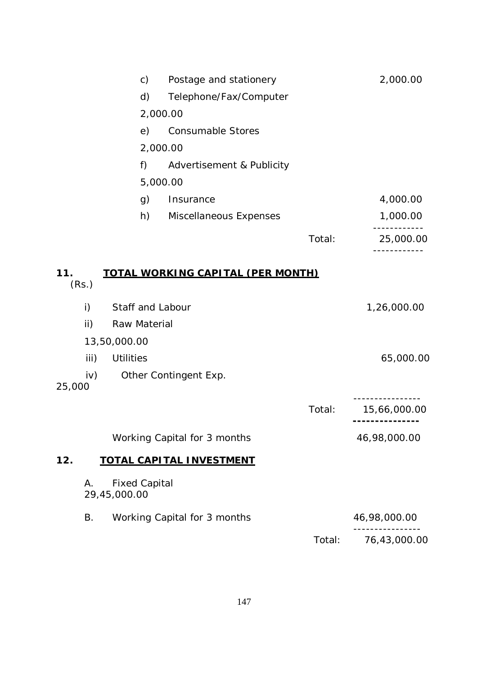|        |       | $\mathsf{C}$                         | Postage and stationery                   |        | 2,000.00     |
|--------|-------|--------------------------------------|------------------------------------------|--------|--------------|
|        |       | d)                                   | Telephone/Fax/Computer                   |        |              |
|        |       |                                      | 2,000.00                                 |        |              |
|        |       | e)                                   | <b>Consumable Stores</b>                 |        |              |
|        |       |                                      | 2,000.00                                 |        |              |
|        |       | f)                                   | Advertisement & Publicity                |        |              |
|        |       |                                      | 5,000.00                                 |        |              |
|        |       | g)                                   | Insurance                                |        | 4,000.00     |
|        |       | h)                                   | Miscellaneous Expenses                   |        | 1,000.00     |
|        |       |                                      |                                          | Total: | 25,000.00    |
| 11.    | (Rs.) |                                      | <u>TOTAL WORKING CAPITAL (PER MONTH)</u> |        |              |
|        | i)    | Staff and Labour                     |                                          |        | 1,26,000.00  |
|        | ii)   | Raw Material                         |                                          |        |              |
|        |       | 13,50,000.00                         |                                          |        |              |
|        | iii)  | <b>Utilities</b>                     |                                          |        | 65,000.00    |
| 25,000 | iv)   |                                      | Other Contingent Exp.                    |        |              |
|        |       |                                      |                                          | Total: | 15,66,000.00 |
|        |       |                                      | Working Capital for 3 months             |        | 46,98,000.00 |
| 12.    |       |                                      | <b>TOTAL CAPITAL INVESTMENT</b>          |        |              |
|        | А.    | <b>Fixed Capital</b><br>29,45,000.00 |                                          |        |              |
|        | Β.    |                                      | Working Capital for 3 months             |        | 46,98,000.00 |
|        |       |                                      |                                          | Total: | 76,43,000.00 |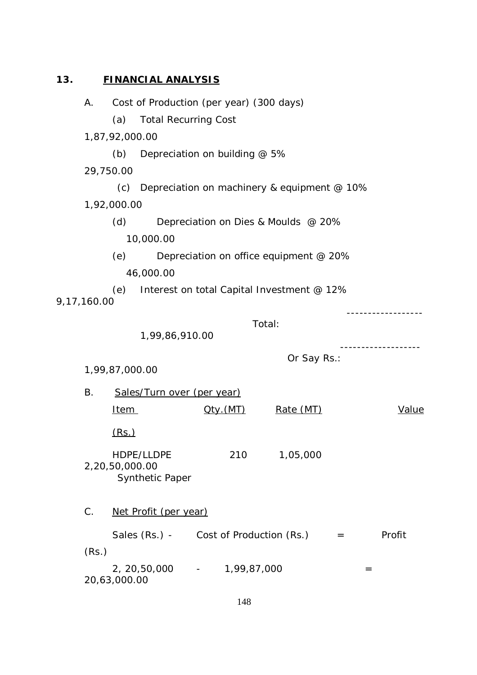# **13. FINANCIAL ANALYSIS**

|             | Α.          |                | Cost of Production (per year) (300 days)          |                   |                                        |     |        |
|-------------|-------------|----------------|---------------------------------------------------|-------------------|----------------------------------------|-----|--------|
|             |             | (a)            | <b>Total Recurring Cost</b>                       |                   |                                        |     |        |
|             |             | 1,87,92,000.00 |                                                   |                   |                                        |     |        |
|             |             | (b)            | Depreciation on building @ 5%                     |                   |                                        |     |        |
|             | 29,750.00   |                |                                                   |                   |                                        |     |        |
|             |             |                | (c) Depreciation on machinery & equipment $@$ 10% |                   |                                        |     |        |
|             |             | 1,92,000.00    |                                                   |                   |                                        |     |        |
|             |             | (d)            |                                                   |                   | Depreciation on Dies & Moulds @ 20%    |     |        |
|             |             |                | 10,000.00                                         |                   |                                        |     |        |
|             |             | (e)            |                                                   |                   | Depreciation on office equipment @ 20% |     |        |
|             |             |                | 46,000.00                                         |                   |                                        |     |        |
| 9,17,160.00 |             | (e)            | Interest on total Capital Investment @ 12%        |                   |                                        |     |        |
|             |             |                |                                                   |                   | Total:                                 |     |        |
|             |             |                | 1,99,86,910.00                                    |                   |                                        |     |        |
|             |             |                |                                                   |                   | Or Say Rs.:                            |     |        |
|             |             | 1,99,87,000.00 |                                                   |                   |                                        |     |        |
|             | Β.          |                | Sales/Turn over (per year)                        |                   |                                        |     |        |
|             |             | <u>Item</u>    |                                                   | <u> Qty. (MT)</u> | Rate (MT)                              |     | Value  |
|             |             |                |                                                   |                   |                                        |     |        |
|             |             | (Rs.)          |                                                   |                   |                                        |     |        |
|             |             | 2,20,50,000.00 | HDPE/LLDPE<br><b>Synthetic Paper</b>              |                   | 210 1,05,000                           |     |        |
|             | $C_{\cdot}$ |                | Net Profit (per year)                             |                   |                                        |     |        |
|             |             |                | Sales $(Rs.) -$ Cost of Production $(Rs.) =$      |                   |                                        |     | Profit |
|             | (Rs.)       |                |                                                   |                   |                                        |     |        |
|             |             | 20,63,000.00   | 2, 20,50,000 - 1,99,87,000                        |                   |                                        | $=$ |        |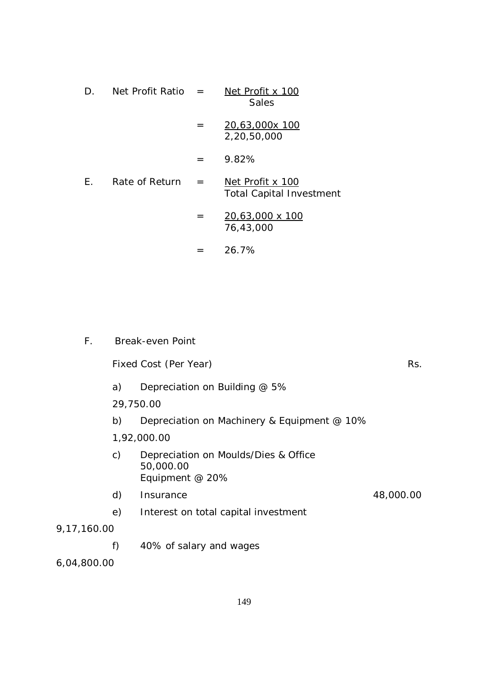| D. | Net Profit Ratio $=$ |     | Net Profit x 100<br><b>Sales</b>                    |
|----|----------------------|-----|-----------------------------------------------------|
|    |                      | $=$ | 20,63,000x 100<br>2,20,50,000                       |
|    |                      |     | 9.82%                                               |
| F. | Rate of Return       | $=$ | Net Profit x 100<br><b>Total Capital Investment</b> |
|    |                      | $=$ | 20,63,000 x 100<br>76,43,000                        |
|    |                      |     | 26.7%                                               |

| F.          |           | <b>Break-even Point</b>                                              |           |
|-------------|-----------|----------------------------------------------------------------------|-----------|
|             |           | Fixed Cost (Per Year)                                                | Rs.       |
|             | a)        | Depreciation on Building @ 5%                                        |           |
|             | 29,750.00 |                                                                      |           |
|             | b)        | Depreciation on Machinery & Equipment @ 10%                          |           |
|             |           | 1,92,000.00                                                          |           |
|             | C)        | Depreciation on Moulds/Dies & Office<br>50,000.00<br>Equipment @ 20% |           |
|             | d)        | Insurance                                                            | 48,000.00 |
|             | e)        | Interest on total capital investment                                 |           |
| 9,17,160.00 |           |                                                                      |           |
|             | f)        | 40% of salary and wages                                              |           |
| 6,04,800.00 |           |                                                                      |           |